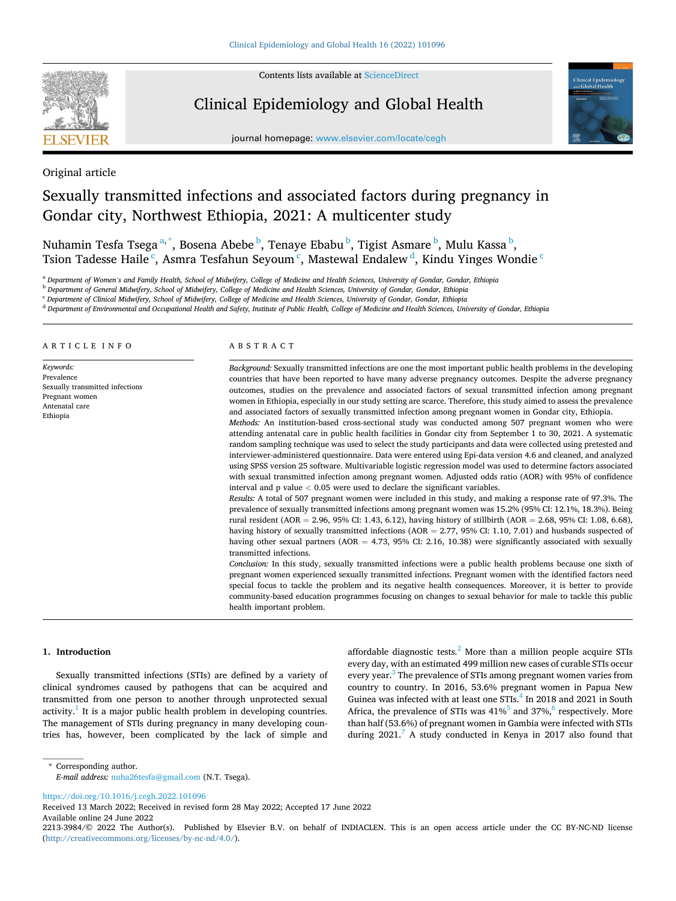

Contents lists available at [ScienceDirect](www.sciencedirect.com/science/journal/22133984)

# Clinical Epidemiology and Global Health



journal homepage: [www.elsevier.com/locate/cegh](https://www.elsevier.com/locate/cegh)

Original article

# Sexually transmitted infections and associated factors during pregnancy in Gondar city, Northwest Ethiopia, 2021: A multicenter study

Nuhamin Tesfa Tsega<sup>a,\*</sup>, Bosena Abebe <sup>b</sup>, Tenaye Ebabu <sup>b</sup>, Tigist Asmare <sup>b</sup>, Mulu Kassa <sup>b</sup>, Tsion Tadesse Haile  $\lq$ , Asmra Tesfahun Seyoum  $\lq$ , Mastewal Endalew  $\lq$ , Kindu Yinges Wondie  $\lq$ 

<sup>a</sup> *Department of Women's and Family Health, School of Midwifery, College of Medicine and Health Sciences, University of Gondar, Gondar, Ethiopia* 

<sup>b</sup> *Department of General Midwifery, School of Midwifery, College of Medicine and Health Sciences, University of Gondar, Gondar, Ethiopia* 

<sup>c</sup> *Department of Clinical Midwifery, School of Midwifery, College of Medicine and Health Sciences, University of Gondar, Gondar, Ethiopia* 

<sup>d</sup> *Department of Environmental and Occupational Health and Safety, Institute of Public Health, College of Medicine and Health Sciences, University of Gondar, Ethiopia* 

ARTICLE INFO

*Keywords:*  Prevalence Sexually transmitted infections Pregnant women Antenatal care Ethiopia

# ABSTRACT

*Background:* Sexually transmitted infections are one the most important public health problems in the developing countries that have been reported to have many adverse pregnancy outcomes. Despite the adverse pregnancy outcomes, studies on the prevalence and associated factors of sexual transmitted infection among pregnant women in Ethiopia, especially in our study setting are scarce. Therefore, this study aimed to assess the prevalence and associated factors of sexually transmitted infection among pregnant women in Gondar city, Ethiopia.

*Methods:* An institution-based cross-sectional study was conducted among 507 pregnant women who were attending antenatal care in public health facilities in Gondar city from September 1 to 30, 2021. A systematic random sampling technique was used to select the study participants and data were collected using pretested and interviewer-administered questionnaire. Data were entered using Epi-data version 4.6 and cleaned, and analyzed using SPSS version 25 software. Multivariable logistic regression model was used to determine factors associated with sexual transmitted infection among pregnant women. Adjusted odds ratio (AOR) with 95% of confidence interval and p value *<* 0.05 were used to declare the significant variables.

*Results:* A total of 507 pregnant women were included in this study, and making a response rate of 97.3%. The prevalence of sexually transmitted infections among pregnant women was 15.2% (95% CI: 12.1%, 18.3%). Being rural resident (AOR = 2.96, 95% CI: 1.43, 6.12), having history of stillbirth (AOR = 2.68, 95% CI: 1.08, 6.68), having history of sexually transmitted infections (AOR = 2.77, 95% CI: 1.10, 7.01) and husbands suspected of having other sexual partners (AOR = 4.73, 95% CI: 2.16, 10.38) were significantly associated with sexually transmitted infections.

*Conclusion:* In this study, sexually transmitted infections were a public health problems because one sixth of pregnant women experienced sexually transmitted infections. Pregnant women with the identified factors need special focus to tackle the problem and its negative health consequences. Moreover, it is better to provide community-based education programmes focusing on changes to sexual behavior for male to tackle this public health important problem.

#### **1. Introduction**

Sexually transmitted infections (STIs) are defined by a variety of clinical syndromes caused by pathogens that can be acquired and transmitted from one person to another through unprotected sexual activity.<sup>1</sup> It is a major public health problem in developing countries. The management of STIs during pregnancy in many developing countries has, however, been complicated by the lack of simple and affordable diagnostic tests. $<sup>2</sup>$  More than a million people acquire STIs</sup> every day, with an estimated 499 million new cases of curable STIs occur every year.<sup>3</sup> The prevalence of STIs among pregnant women varies from country to country. In 2016, 53.6% pregnant women in Papua New Guinea was infected with at least one STIs.<sup>4</sup> In 2018 and 2021 in South Africa, the prevalence of STIs was  $41\%$ <sup>5</sup> and 37%,<sup>6</sup> respectively. More than half (53.6%) of pregnant women in Gambia were infected with STIs during  $2021<sup>7</sup>$  A study conducted in Kenya in 2017 also found that

\* Corresponding author. *E-mail address:* [nuha26tesfa@gmail.com](mailto:nuha26tesfa@gmail.com) (N.T. Tsega).

<https://doi.org/10.1016/j.cegh.2022.101096>

Available online 24 June 2022 Received 13 March 2022; Received in revised form 28 May 2022; Accepted 17 June 2022

<sup>2213-3984/© 2022</sup> The Author(s). Published by Elsevier B.V. on behalf of INDIACLEN. This is an open access article under the CC BY-NC-ND license [\(http://creativecommons.org/licenses/by-nc-nd/4.0/\)](http://creativecommons.org/licenses/by-nc-nd/4.0/).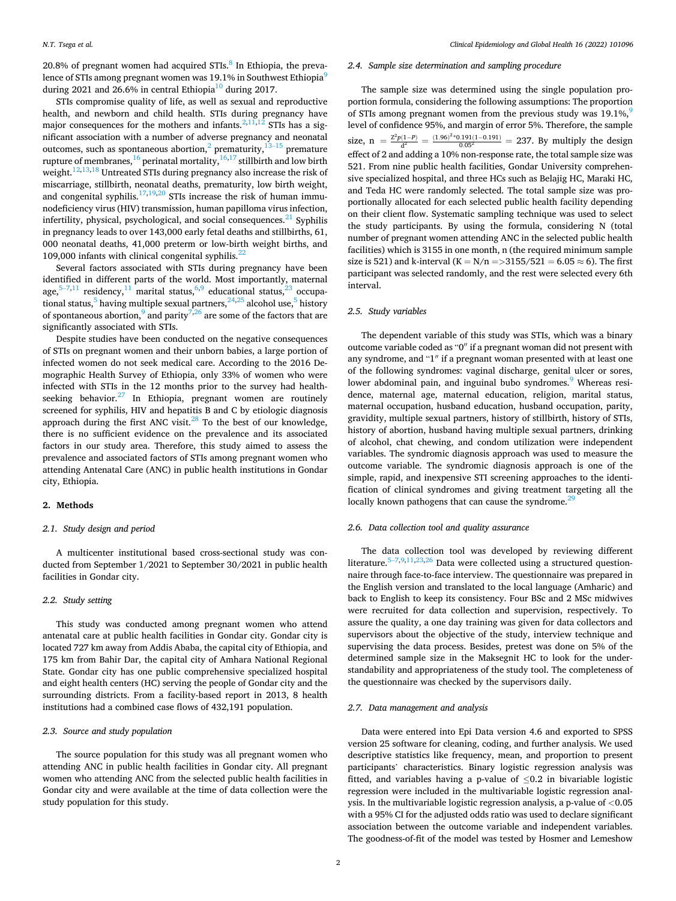20.8% of pregnant women had acquired  $STIs$ .<sup>8</sup> In Ethiopia, the prevalence of STIs among pregnant women was 19.1% in Southwest Ethiopia<sup>9</sup> during 2021 and 26.6% in central Ethiopia<sup>10</sup> during 2017.

STIs compromise quality of life, as well as sexual and reproductive health, and newborn and child health. STIs during pregnancy have major consequences for the mothers and infants.  $2,11,12$  STIs has a significant association with a number of adverse pregnancy and neonatal outcomes, such as spontaneous abortion, $^2$  prematurity, $^{13-15}$  premature rupture of membranes,  $^{16}$  perinatal mortality,  $^{16,17}$  stillbirth and low birth weight.<sup>12,13,18</sup> Untreated STIs during pregnancy also increase the risk of miscarriage, stillbirth, neonatal deaths, prematurity, low birth weight, and congenital syphilis.<sup>17,19,20</sup> STIs increase the risk of human immunodeficiency virus (HIV) transmission, human papilloma virus infection, infertility, physical, psychological, and social consequences. $21$  Syphilis in pregnancy leads to over 143,000 early fetal deaths and stillbirths, 61, 000 neonatal deaths, 41,000 preterm or low-birth weight births, and 109,000 infants with clinical congenital syphilis. $^{22}$ 

Several factors associated with STIs during pregnancy have been identified in different parts of the world. Most importantly, maternal age, $5-7,11$  $5-7,11$  $5-7,11$  residency, $11$  marital status, $6,9$  $6,9$  educational status, $23$  occupational status,<sup>5</sup> having multiple sexual partners,  $24,25$  alcohol use,<sup>5</sup> history of spontaneous abortion,  $9 \text{ and parity}^{7,26}$  $9 \text{ and parity}^{7,26}$  $9 \text{ and parity}^{7,26}$  are some of the factors that are significantly associated with STIs.

Despite studies have been conducted on the negative consequences of STIs on pregnant women and their unborn babies, a large portion of infected women do not seek medical care. According to the 2016 Demographic Health Survey of Ethiopia, only 33% of women who were infected with STIs in the 12 months prior to the survey had healthseeking behavior. $27$  In Ethiopia, pregnant women are routinely screened for syphilis, HIV and hepatitis B and C by etiologic diagnosis approach during the first ANC visit.<sup>28</sup> To the best of our knowledge, there is no sufficient evidence on the prevalence and its associated factors in our study area. Therefore, this study aimed to assess the prevalence and associated factors of STIs among pregnant women who attending Antenatal Care (ANC) in public health institutions in Gondar city, Ethiopia.

### **2. Methods**

#### *2.1. Study design and period*

A multicenter institutional based cross-sectional study was conducted from September 1/2021 to September 30/2021 in public health facilities in Gondar city.

# *2.2. Study setting*

This study was conducted among pregnant women who attend antenatal care at public health facilities in Gondar city. Gondar city is located 727 km away from Addis Ababa, the capital city of Ethiopia, and 175 km from Bahir Dar, the capital city of Amhara National Regional State. Gondar city has one public comprehensive specialized hospital and eight health centers (HC) serving the people of Gondar city and the surrounding districts. From a facility-based report in 2013, 8 health institutions had a combined case flows of 432,191 population.

#### *2.3. Source and study population*

The source population for this study was all pregnant women who attending ANC in public health facilities in Gondar city. All pregnant women who attending ANC from the selected public health facilities in Gondar city and were available at the time of data collection were the study population for this study.

#### *2.4. Sample size determination and sampling procedure*

The sample size was determined using the single population proportion formula, considering the following assumptions: The proportion of STIs among pregnant women from the previous study was  $19.1\%$ level of confidence 95%, and margin of error 5%. Therefore, the sample size, n =  $\frac{Z^2p(1-P)}{d^2} = \frac{(1.96)^{2*0.191}(1-0.191)}{0.05^2} = 237$ . By multiply the design effect of 2 and adding a 10% non-response rate, the total sample size was 521. From nine public health facilities, Gondar University comprehensive specialized hospital, and three HCs such as Belajig HC, Maraki HC, and Teda HC were randomly selected. The total sample size was proportionally allocated for each selected public health facility depending on their client flow. Systematic sampling technique was used to select the study participants. By using the formula, considering N (total number of pregnant women attending ANC in the selected public health facilities) which is 3155 in one month, n (the required minimum sample size is 521) and k-interval  $(K = N/n = > 3155/521 = 6.05 \approx 6)$ . The first participant was selected randomly, and the rest were selected every 6th interval.

#### *2.5. Study variables*

The dependent variable of this study was STIs, which was a binary outcome variable coded as "0′′ if a pregnant woman did not present with any syndrome, and "1′′ if a pregnant woman presented with at least one of the following syndromes: vaginal discharge, genital ulcer or sores, lower abdominal pain, and inguinal bubo syndromes.<sup>9</sup> Whereas residence, maternal age, maternal education, religion, marital status, maternal occupation, husband education, husband occupation, parity, gravidity, multiple sexual partners, history of stillbirth, history of STIs, history of abortion, husband having multiple sexual partners, drinking of alcohol, chat chewing, and condom utilization were independent variables. The syndromic diagnosis approach was used to measure the outcome variable. The syndromic diagnosis approach is one of the simple, rapid, and inexpensive STI screening approaches to the identification of clinical syndromes and giving treatment targeting all the locally known pathogens that can cause the syndrome.<sup>29</sup>

#### *2.6. Data collection tool and quality assurance*

The data collection tool was developed by reviewing different literature.<sup>5–[7,](#page-4-0)9,11,23,26</sup> Data were collected using a structured questionnaire through face-to-face interview. The questionnaire was prepared in the English version and translated to the local language (Amharic) and back to English to keep its consistency. Four BSc and 2 MSc midwives were recruited for data collection and supervision, respectively. To assure the quality, a one day training was given for data collectors and supervisors about the objective of the study, interview technique and supervising the data process. Besides, pretest was done on 5% of the determined sample size in the Maksegnit HC to look for the understandability and appropriateness of the study tool. The completeness of the questionnaire was checked by the supervisors daily.

#### *2.7. Data management and analysis*

Data were entered into Epi Data version 4.6 and exported to SPSS version 25 software for cleaning, coding, and further analysis. We used descriptive statistics like frequency, mean, and proportion to present participants' characteristics. Binary logistic regression analysis was fitted, and variables having a p-value of  $\leq 0.2$  in bivariable logistic regression were included in the multivariable logistic regression analysis. In the multivariable logistic regression analysis, a p-value of *<*0.05 with a 95% CI for the adjusted odds ratio was used to declare significant association between the outcome variable and independent variables. The goodness-of-fit of the model was tested by Hosmer and Lemeshow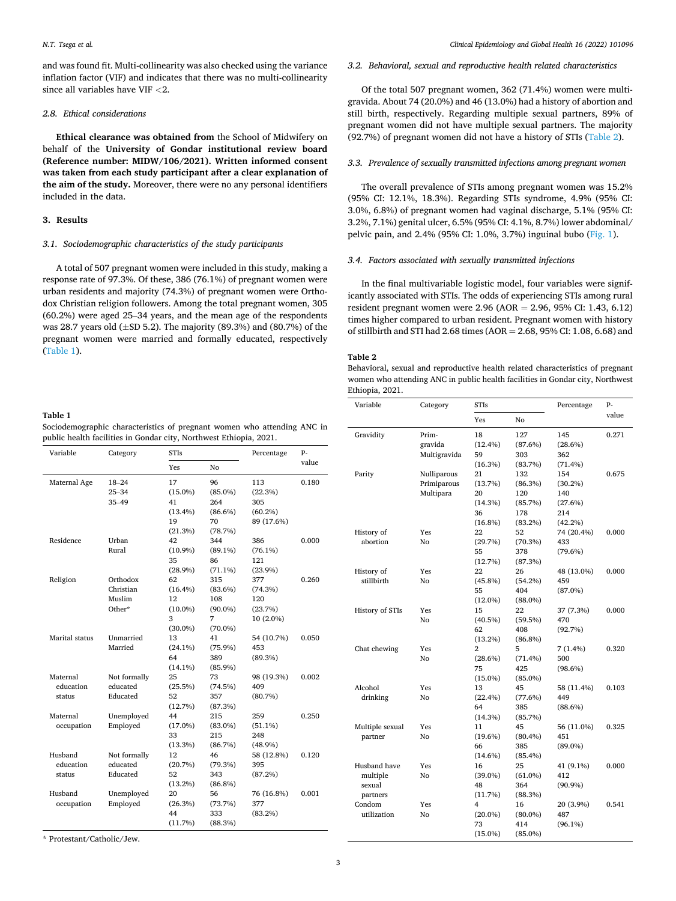and was found fit. Multi-collinearity was also checked using the variance inflation factor (VIF) and indicates that there was no multi-collinearity since all variables have VIF *<*2.

#### *2.8. Ethical considerations*

**Ethical clearance was obtained from** the School of Midwifery on behalf of the **University of Gondar institutional review board (Reference number: MIDW/106/2021). Written informed consent was taken from each study participant after a clear explanation of the aim of the study.** Moreover, there were no any personal identifiers included in the data.

#### **3. Results**

### *3.1. Sociodemographic characteristics of the study participants*

A total of 507 pregnant women were included in this study, making a response rate of 97.3%. Of these, 386 (76.1%) of pregnant women were urban residents and majority (74.3%) of pregnant women were Orthodox Christian religion followers. Among the total pregnant women, 305 (60.2%) were aged 25–34 years, and the mean age of the respondents was 28.7 years old  $(\pm SD 5.2)$ . The majority (89.3%) and (80.7%) of the pregnant women were married and formally educated, respectively (Table 1).

# **Table 1**

Sociodemographic characteristics of pregnant women who attending ANC in public health facilities in Gondar city, Northwest Ethiopia, 2021.

| Variable       | Category     | STIs       |            | Percentage | p.    |
|----------------|--------------|------------|------------|------------|-------|
|                |              | <b>Yes</b> | No         |            | value |
| Maternal Age   | $18 - 24$    | 17         | 96         | 113        | 0.180 |
|                | $25 - 34$    | $(15.0\%)$ | $(85.0\%)$ | (22.3%)    |       |
|                | $35 - 49$    | 41         | 264        | 305        |       |
|                |              | $(13.4\%)$ | $(86.6\%)$ | $(60.2\%)$ |       |
|                |              | 19         | 70         | 89 (17.6%) |       |
|                |              | (21.3%)    | (78.7%)    |            |       |
| Residence      | Urban        | 42         | 344        | 386        | 0.000 |
|                | Rural        | $(10.9\%)$ | $(89.1\%)$ | $(76.1\%)$ |       |
|                |              | 35         | 86         | 121        |       |
|                |              | $(28.9\%)$ | $(71.1\%)$ | $(23.9\%)$ |       |
| Religion       | Orthodox     | 62         | 315        | 377        | 0.260 |
|                | Christian    | $(16.4\%)$ | $(83.6\%)$ | (74.3%)    |       |
|                | Muslim       | 12         | 108        | 120        |       |
|                | Other*       | $(10.0\%)$ | $(90.0\%)$ | (23.7%)    |       |
|                |              | 3          | 7          | 10 (2.0%)  |       |
|                |              | $(30.0\%)$ | $(70.0\%)$ |            |       |
| Marital status | Unmarried    | 13         | 41         | 54 (10.7%) | 0.050 |
|                | Married      | $(24.1\%)$ | $(75.9\%)$ | 453        |       |
|                |              | 64         | 389        | (89.3%)    |       |
|                |              | $(14.1\%)$ | $(85.9\%)$ |            |       |
| Maternal       | Not formally | 25         | 73         | 98 (19.3%) | 0.002 |
| education      | educated     | (25.5%)    | (74.5%)    | 409        |       |
| status         | Educated     | 52         | 357        | (80.7%)    |       |
|                |              | (12.7%)    | (87.3%)    |            |       |
| Maternal       | Unemployed   | 44         | 215        | 259        | 0.250 |
| occupation     | Employed     | $(17.0\%)$ | $(83.0\%)$ | $(51.1\%)$ |       |
|                |              | 33         | 215        | 248        |       |
|                |              | (13.3%)    | (86.7%)    | $(48.9\%)$ |       |
| Husband        | Not formally | 12         | 46         | 58 (12.8%) | 0.120 |
| education      | educated     | (20.7%)    | (79.3%)    | 395        |       |
| status         | Educated     | 52         | 343        | (87.2%)    |       |
|                |              | $(13.2\%)$ | $(86.8\%)$ |            |       |
| Husband        | Unemployed   | 20         | 56         | 76 (16.8%) | 0.001 |
| occupation     | Employed     | (26.3%)    | (73.7%)    | 377        |       |
|                |              | 44         | 333        | $(83.2\%)$ |       |
|                |              | (11.7%)    | (88.3%)    |            |       |

\* Protestant/Catholic/Jew.

#### *3.2. Behavioral, sexual and reproductive health related characteristics*

Of the total 507 pregnant women, 362 (71.4%) women were multigravida. About 74 (20.0%) and 46 (13.0%) had a history of abortion and still birth, respectively. Regarding multiple sexual partners, 89% of pregnant women did not have multiple sexual partners. The majority (92.7%) of pregnant women did not have a history of STIs (Table 2).

#### *3.3. Prevalence of sexually transmitted infections among pregnant women*

The overall prevalence of STIs among pregnant women was 15.2% (95% CI: 12.1%, 18.3%). Regarding STIs syndrome, 4.9% (95% CI: 3.0%, 6.8%) of pregnant women had vaginal discharge, 5.1% (95% CI: 3.2%, 7.1%) genital ulcer, 6.5% (95% CI: 4.1%, 8.7%) lower abdominal/ pelvic pain, and 2.4% (95% CI: 1.0%, 3.7%) inguinal bubo [\(Fig. 1](#page-3-0)).

#### *3.4. Factors associated with sexually transmitted infections*

In the final multivariable logistic model, four variables were significantly associated with STIs. The odds of experiencing STIs among rural resident pregnant women were 2.96 (AOR = 2.96, 95% CI: 1.43, 6.12) times higher compared to urban resident. Pregnant women with history of stillbirth and STI had 2.68 times (AOR = 2.68, 95% CI: 1.08, 6.68) and

#### **Table 2**

Behavioral, sexual and reproductive health related characteristics of pregnant women who attending ANC in public health facilities in Gondar city, Northwest Ethiopia, 2021.

| Variable        | Category       | <b>STIs</b>    |            | Percentage | P-    |
|-----------------|----------------|----------------|------------|------------|-------|
|                 |                | Yes            | No         |            | value |
| Gravidity       | Prim-          | 18             | 127        | 145        | 0.271 |
|                 | gravida        | $(12.4\%)$     | (87.6%)    | (28.6%)    |       |
|                 | Multigravida   | 59             | 303        | 362        |       |
|                 |                | (16.3%)        | (83.7%)    | (71.4%)    |       |
| Parity          | Nulliparous    | 21             | 132        | 154        | 0.675 |
|                 | Primiparous    | (13.7%)        | (86.3%)    | $(30.2\%)$ |       |
|                 | Multipara      | 20             | 120        | 140        |       |
|                 |                | (14.3%)        | (85.7%)    | (27.6%)    |       |
|                 |                | 36             | 178        | 214        |       |
|                 |                | $(16.8\%)$     | (83.2%)    | $(42.2\%)$ |       |
| History of      | Yes            | 22             | 52         | 74 (20.4%) | 0.000 |
| abortion        | N <sub>0</sub> | (29.7%)        | (70.3%)    | 433        |       |
|                 |                | 55             | 378        | (79.6%)    |       |
|                 |                | (12.7%)        | (87.3%)    |            |       |
| History of      | Yes            | 22             | 26         | 48 (13.0%) | 0.000 |
| stillbirth      | No             | $(45.8\%)$     | (54.2%)    | 459        |       |
|                 |                | 55             | 404        | $(87.0\%)$ |       |
|                 |                | $(12.0\%)$     | $(88.0\%)$ |            |       |
| History of STIs | Yes            | 15             | 22         | 37 (7.3%)  | 0.000 |
|                 | No             | (40.5%)        | (59.5%)    | 470        |       |
|                 |                | 62             | 408        | (92.7%)    |       |
|                 |                | $(13.2\%)$     | $(86.8\%)$ |            |       |
| Chat chewing    | Yes            | $\overline{2}$ | 5          | 7 (1.4%)   | 0.320 |
|                 | No             | $(28.6\%)$     | $(71.4\%)$ | 500        |       |
|                 |                | 75             | 425        | $(98.6\%)$ |       |
|                 |                | $(15.0\%)$     | $(85.0\%)$ |            |       |
| Alcohol         | Yes            | 13             | 45         | 58 (11.4%) | 0.103 |
| drinking        | No             | (22.4%)        | (77.6%)    | 449        |       |
|                 |                | 64             | 385        | $(88.6\%)$ |       |
|                 |                | (14.3%)        | (85.7%)    |            |       |
| Multiple sexual | Yes            | 11             | 45         | 56 (11.0%) | 0.325 |
| partner         | No             | $(19.6\%)$     | (80.4%)    | 451        |       |
|                 |                | 66             | 385        | $(89.0\%)$ |       |
|                 |                | $(14.6\%)$     | $(85.4\%)$ |            |       |
| Husband have    | Yes            | 16             | 25         | 41 (9.1%)  | 0.000 |
| multiple        | N <sub>0</sub> | $(39.0\%)$     | $(61.0\%)$ | 412        |       |
| sexual          |                | 48             | 364        | $(90.9\%)$ |       |
| partners        |                | (11.7%)        | (88.3%)    |            |       |
| Condom          | Yes            | 4              | 16         | 20 (3.9%)  | 0.541 |
| utilization     | No             | $(20.0\%)$     | $(80.0\%)$ | 487        |       |
|                 |                | 73             | 414        | $(96.1\%)$ |       |
|                 |                | $(15.0\%)$     | $(85.0\%)$ |            |       |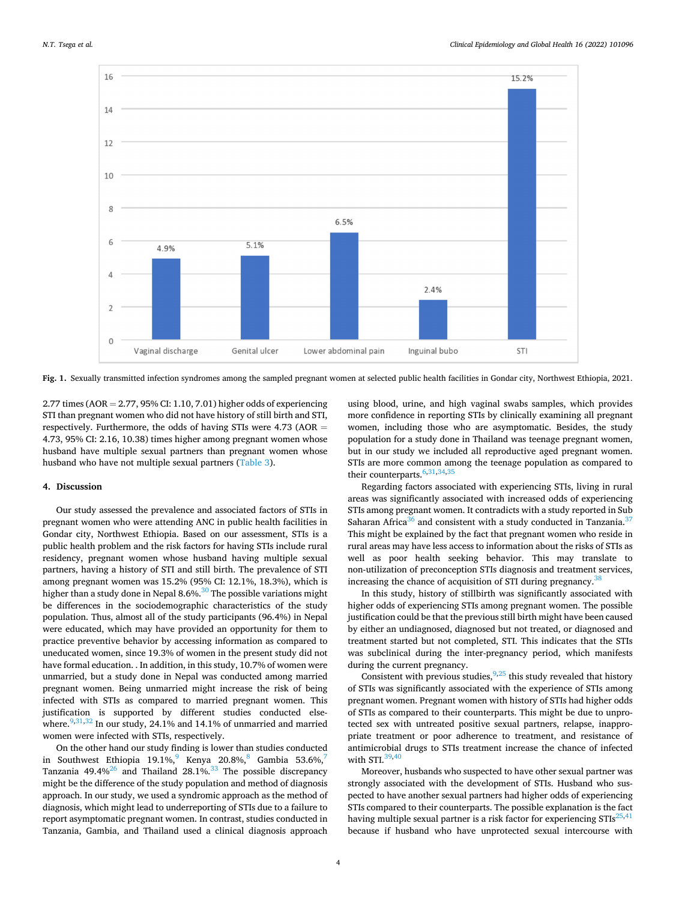<span id="page-3-0"></span>

**Fig. 1.** Sexually transmitted infection syndromes among the sampled pregnant women at selected public health facilities in Gondar city, Northwest Ethiopia, 2021.

2.77 times (AOR = 2.77, 95% CI: 1.10, 7.01) higher odds of experiencing STI than pregnant women who did not have history of still birth and STI, respectively. Furthermore, the odds of having STIs were 4.73 (AOR = 4.73, 95% CI: 2.16, 10.38) times higher among pregnant women whose husband have multiple sexual partners than pregnant women whose husband who have not multiple sexual partners [\(Table 3\)](#page-4-0).

#### **4. Discussion**

Our study assessed the prevalence and associated factors of STIs in pregnant women who were attending ANC in public health facilities in Gondar city, Northwest Ethiopia. Based on our assessment, STIs is a public health problem and the risk factors for having STIs include rural residency, pregnant women whose husband having multiple sexual partners, having a history of STI and still birth. The prevalence of STI among pregnant women was 15.2% (95% CI: 12.1%, 18.3%), which is higher than a study done in Nepal 8.6%.<sup>30</sup> The possible variations might be differences in the sociodemographic characteristics of the study population. Thus, almost all of the study participants (96.4%) in Nepal were educated, which may have provided an opportunity for them to practice preventive behavior by accessing information as compared to uneducated women, since 19.3% of women in the present study did not have formal education. . In addition, in this study, 10.7% of women were unmarried, but a study done in Nepal was conducted among married pregnant women. Being unmarried might increase the risk of being infected with STIs as compared to married pregnant women. This justification is supported by different studies conducted elsewhere. $9,31,32$  In our study, 24.1% and 14.1% of unmarried and married women were infected with STIs, respectively.

On the other hand our study finding is lower than studies conducted in Southwest Ethiopia 19.1%,<sup>9</sup> Kenya 20.8%,<sup>8</sup> Gambia 53.6%,<sup>7</sup> Tanzania 49.4% $^{26}$  and Thailand 28.1%.<sup>33</sup> The possible discrepancy might be the difference of the study population and method of diagnosis approach. In our study, we used a syndromic approach as the method of diagnosis, which might lead to underreporting of STIs due to a failure to report asymptomatic pregnant women. In contrast, studies conducted in Tanzania, Gambia, and Thailand used a clinical diagnosis approach using blood, urine, and high vaginal swabs samples, which provides more confidence in reporting STIs by clinically examining all pregnant women, including those who are asymptomatic. Besides, the study population for a study done in Thailand was teenage pregnant women, but in our study we included all reproductive aged pregnant women. STIs are more common among the teenage population as compared to their counterparts. $6,31,34,35$  $6,31,34,35$ 

Regarding factors associated with experiencing STIs, living in rural areas was significantly associated with increased odds of experiencing STIs among pregnant women. It contradicts with a study reported in Sub Saharan Africa<sup>36</sup> and consistent with a study conducted in Tanzania.<sup>37</sup> This might be explained by the fact that pregnant women who reside in rural areas may have less access to information about the risks of STIs as well as poor health seeking behavior. This may translate to non-utilization of preconception STIs diagnosis and treatment services, increasing the chance of acquisition of STI during pregnancy.<sup>[38](#page-5-0)</sup>

In this study, history of stillbirth was significantly associated with higher odds of experiencing STIs among pregnant women. The possible justification could be that the previous still birth might have been caused by either an undiagnosed, diagnosed but not treated, or diagnosed and treatment started but not completed, STI. This indicates that the STIs was subclinical during the inter-pregnancy period, which manifests during the current pregnancy.

Consistent with previous studies,  $9,25$  this study revealed that history of STIs was significantly associated with the experience of STIs among pregnant women. Pregnant women with history of STIs had higher odds of STIs as compared to their counterparts. This might be due to unprotected sex with untreated positive sexual partners, relapse, inappropriate treatment or poor adherence to treatment, and resistance of antimicrobial drugs to STIs treatment increase the chance of infected with STI. $39,40$ 

Moreover, husbands who suspected to have other sexual partner was strongly associated with the development of STIs. Husband who suspected to have another sexual partners had higher odds of experiencing STIs compared to their counterparts. The possible explanation is the fact having multiple sexual partner is a risk factor for experiencing  $STIs^{25,41}$ because if husband who have unprotected sexual intercourse with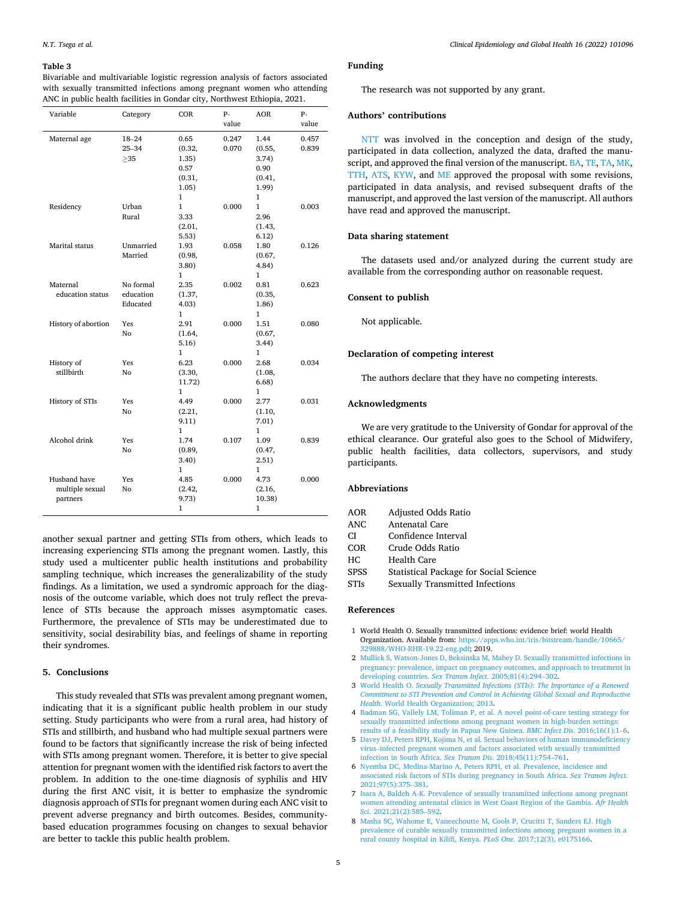#### <span id="page-4-0"></span>**Table 3**

Bivariable and multivariable logistic regression analysis of factors associated with sexually transmitted infections among pregnant women who attending ANC in public health facilities in Gondar city, Northwest Ethiopia, 2021.

| Variable                                    | Category                            | COR                                                                | $P -$<br>value | <b>AOR</b>                                                         | $P -$<br>value |
|---------------------------------------------|-------------------------------------|--------------------------------------------------------------------|----------------|--------------------------------------------------------------------|----------------|
| Maternal age                                | $18 - 24$<br>$25 - 34$<br>$\geq$ 35 | 0.65<br>(0.32,<br>1.35)<br>0.57<br>(0.31,<br>1.05)<br>$\mathbf{1}$ | 0.247<br>0.070 | 1.44<br>(0.55,<br>3.74)<br>0.90<br>(0.41,<br>1.99)<br>$\mathbf{1}$ | 0.457<br>0.839 |
| Residency                                   | Urban<br>Rural                      | $\mathbf{1}$<br>3.33<br>(2.01,<br>5.53)                            | 0.000          | 1<br>2.96<br>(1.43,<br>6.12)                                       | 0.003          |
| Marital status                              | Unmarried<br>Married                | 1.93<br>(0.98,<br>3.80)<br>$\mathbf{1}$                            | 0.058          | 1.80<br>(0.67,<br>4.84)<br>1                                       | 0.126          |
| Maternal<br>education status                | No formal<br>education<br>Educated  | 2.35<br>(1.37,<br>4.03)<br>1                                       | 0.002          | 0.81<br>(0.35,<br>1.86)<br>1                                       | 0.623          |
| History of abortion                         | Yes<br>No                           | 2.91<br>(1.64,<br>5.16)<br>1                                       | 0.000          | 1.51<br>(0.67,<br>3.44)<br>1                                       | 0.080          |
| History of<br>stillbirth                    | Yes<br>No                           | 6.23<br>(3.30,<br>11.72)<br>1                                      | 0.000          | 2.68<br>(1.08,<br>6.68)<br>1                                       | 0.034          |
| History of STIs                             | Yes<br>No                           | 4.49<br>(2.21,<br>9.11)<br>1                                       | 0.000          | 2.77<br>(1.10,<br>7.01)<br>1                                       | 0.031          |
| Alcohol drink                               | Yes<br>No                           | 1.74<br>(0.89,<br>3.40)<br>1                                       | 0.107          | 1.09<br>(0.47,<br>2.51)<br>1                                       | 0.839          |
| Husband have<br>multiple sexual<br>partners | Yes<br>No                           | 4.85<br>(2.42,<br>9.73)<br>1                                       | 0.000          | 4.73<br>(2.16,<br>10.38)<br>1                                      | 0.000          |

another sexual partner and getting STIs from others, which leads to increasing experiencing STIs among the pregnant women. Lastly, this study used a multicenter public health institutions and probability sampling technique, which increases the generalizability of the study findings. As a limitation, we used a syndromic approach for the diagnosis of the outcome variable, which does not truly reflect the prevalence of STIs because the approach misses asymptomatic cases. Furthermore, the prevalence of STIs may be underestimated due to sensitivity, social desirability bias, and feelings of shame in reporting their syndromes.

# **5. Conclusions**

This study revealed that STIs was prevalent among pregnant women, indicating that it is a significant public health problem in our study setting. Study participants who were from a rural area, had history of STIs and stillbirth, and husband who had multiple sexual partners were found to be factors that significantly increase the risk of being infected with STIs among pregnant women. Therefore, it is better to give special attention for pregnant women with the identified risk factors to avert the problem. In addition to the one-time diagnosis of syphilis and HIV during the first ANC visit, it is better to emphasize the syndromic diagnosis approach of STIs for pregnant women during each ANC visit to prevent adverse pregnancy and birth outcomes. Besides, communitybased education programmes focusing on changes to sexual behavior are better to tackle this public health problem.

# **Funding**

The research was not supported by any grant.

# **Authors' contributions**

NTT was involved in the conception and design of the study, participated in data collection, analyzed the data, drafted the manuscript, and approved the final version of the manuscript. BA, TE, TA, MK, TTH, ATS, KYW, and ME approved the proposal with some revisions, participated in data analysis, and revised subsequent drafts of the manuscript, and approved the last version of the manuscript. All authors have read and approved the manuscript.

# **Data sharing statement**

The datasets used and/or analyzed during the current study are available from the corresponding author on reasonable request.

#### **Consent to publish**

Not applicable.

#### **Declaration of competing interest**

The authors declare that they have no competing interests.

#### **Acknowledgments**

We are very gratitude to the University of Gondar for approval of the ethical clearance. Our grateful also goes to the School of Midwifery, public health facilities, data collectors, supervisors, and study participants.

#### **Abbreviations**

- AOR Adjusted Odds Ratio
- ANC Antenatal Care
- CI Confidence Interval
- COR Crude Odds Ratio
- HC Health Care
- SPSS Statistical Package for Social Science
- STIs Sexually Transmitted Infections

#### **References**

- 1 World Health O. Sexually transmitted infections: evidence brief: world Health Organization. Available from: [https://apps.who.int/iris/bitstream/handle/10665/](https://apps.who.int/iris/bitstream/handle/10665/329888/WHO-RHR-19.22-eng.pdf)  [329888/WHO-RHR-19.22-eng.pdf;](https://apps.who.int/iris/bitstream/handle/10665/329888/WHO-RHR-19.22-eng.pdf) 2019.
- 2 [Mullick S, Watson-Jones D, Beksinska M, Mabey D. Sexually transmitted infections in](http://refhub.elsevier.com/S2213-3984(22)00138-5/sref2)  [pregnancy: prevalence, impact on pregnancy outcomes, and approach to treatment in](http://refhub.elsevier.com/S2213-3984(22)00138-5/sref2)  [developing countries.](http://refhub.elsevier.com/S2213-3984(22)00138-5/sref2) *Sex Transm Infect*. 2005;81(4):294–302.
- 3 World Health O. *[Sexually Transmitted Infections \(STIs\): The Importance of a Renewed](http://refhub.elsevier.com/S2213-3984(22)00138-5/sref3) [Commitment to STI Prevention and Control in Achieving Global Sexual and Reproductive](http://refhub.elsevier.com/S2213-3984(22)00138-5/sref3)  Health*[. World Health Organization; 2013.](http://refhub.elsevier.com/S2213-3984(22)00138-5/sref3)
- 4 [Badman SG, Vallely LM, Toliman P, et al. A novel point-of-care testing strategy for](http://refhub.elsevier.com/S2213-3984(22)00138-5/sref4)  [sexually transmitted infections among pregnant women in high-burden settings:](http://refhub.elsevier.com/S2213-3984(22)00138-5/sref4)  [results of a feasibility study in Papua New Guinea.](http://refhub.elsevier.com/S2213-3984(22)00138-5/sref4) *BMC Infect Dis*. 2016;16(1):1–6.
- 5 [Davey DJ, Peters RPH, Kojima N, et al. Sexual behaviors of human immunodeficiency](http://refhub.elsevier.com/S2213-3984(22)00138-5/sref5)  virus–[infected pregnant women and factors associated with sexually transmitted](http://refhub.elsevier.com/S2213-3984(22)00138-5/sref5)  [infection in South Africa.](http://refhub.elsevier.com/S2213-3984(22)00138-5/sref5) *Sex Transm Dis*. 2018;45(11):754–761.
- 6 [Nyemba DC, Medina-Marino A, Peters RPH, et al. Prevalence, incidence and](http://refhub.elsevier.com/S2213-3984(22)00138-5/sref6) [associated risk factors of STIs during pregnancy in South Africa.](http://refhub.elsevier.com/S2213-3984(22)00138-5/sref6) *Sex Transm Infect*. [2021;97\(5\):375](http://refhub.elsevier.com/S2213-3984(22)00138-5/sref6)–381.
- 7 [Isara A, Baldeh A-K. Prevalence of sexually transmitted infections among pregnant](http://refhub.elsevier.com/S2213-3984(22)00138-5/sref7) [women attending antenatal clinics in West Coast Region of the Gambia.](http://refhub.elsevier.com/S2213-3984(22)00138-5/sref7) *Afr Health Sci*[. 2021;21\(2\):585](http://refhub.elsevier.com/S2213-3984(22)00138-5/sref7)–592.
- 8 Masha SC, Wahome E, Vaneechoutte M, Cools P, Crucitti T, Sanders EJ, High [prevalence of curable sexually transmitted infections among pregnant women in a](http://refhub.elsevier.com/S2213-3984(22)00138-5/sref8) [rural county hospital in Kilifi, Kenya.](http://refhub.elsevier.com/S2213-3984(22)00138-5/sref8) *PLoS One*. 2017;12(3), e0175166.